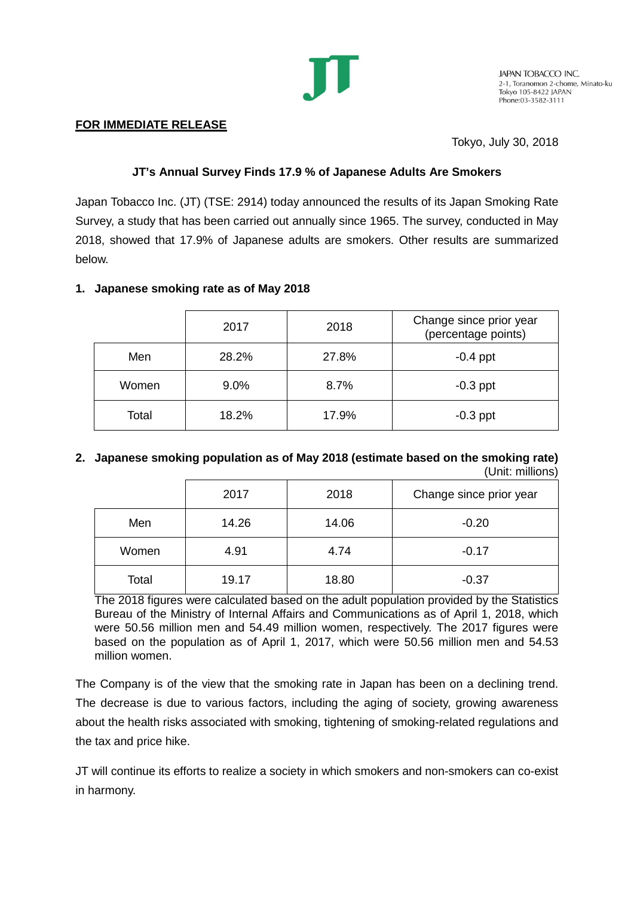

#### **FOR IMMEDIATE RELEASE**

Tokyo, July 30, 2018

## **JT's Annual Survey Finds 17.9 % of Japanese Adults Are Smokers**

Japan Tobacco Inc. (JT) (TSE: 2914) today announced the results of its Japan Smoking Rate Survey, a study that has been carried out annually since 1965. The survey, conducted in May 2018, showed that 17.9% of Japanese adults are smokers. Other results are summarized below.

## **1. Japanese smoking rate as of May 2018**

|       | 2017  | 2018  | Change since prior year<br>(percentage points) |
|-------|-------|-------|------------------------------------------------|
| Men   | 28.2% | 27.8% | $-0.4$ ppt                                     |
| Women | 9.0%  | 8.7%  | $-0.3$ ppt                                     |
| Total | 18.2% | 17.9% | $-0.3$ ppt                                     |

#### **2. Japanese smoking population as of May 2018 (estimate based on the smoking rate)** (Unit: millions)

|       | 2017  | 2018  | Change since prior year |
|-------|-------|-------|-------------------------|
| Men   | 14.26 | 14.06 | $-0.20$                 |
| Women | 4.91  | 4.74  | $-0.17$                 |
| Total | 19.17 | 18.80 | $-0.37$                 |

The 2018 figures were calculated based on the adult population provided by the Statistics Bureau of the Ministry of Internal Affairs and Communications as of April 1, 2018, which were 50.56 million men and 54.49 million women, respectively. The 2017 figures were based on the population as of April 1, 2017, which were 50.56 million men and 54.53 million women.

The Company is of the view that the smoking rate in Japan has been on a declining trend. The decrease is due to various factors, including the aging of society, growing awareness about the health risks associated with smoking, tightening of smoking-related regulations and the tax and price hike.

JT will continue its efforts to realize a society in which smokers and non-smokers can co-exist in harmony.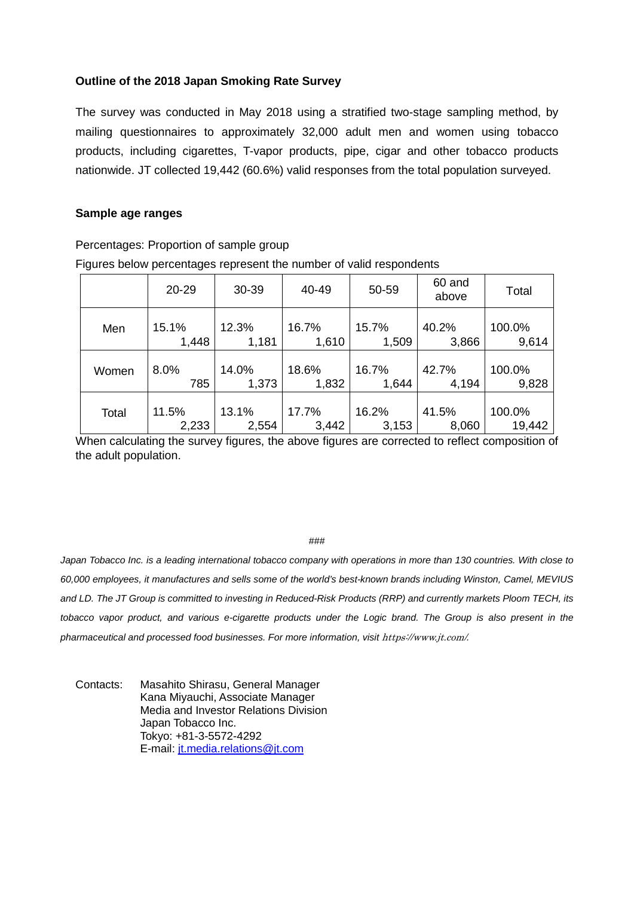## **Outline of the 2018 Japan Smoking Rate Survey**

The survey was conducted in May 2018 using a stratified two-stage sampling method, by mailing questionnaires to approximately 32,000 adult men and women using tobacco products, including cigarettes, T-vapor products, pipe, cigar and other tobacco products nationwide. JT collected 19,442 (60.6%) valid responses from the total population surveyed.

#### **Sample age ranges**

Percentages: Proportion of sample group

Figures below percentages represent the number of valid respondents

|       | 20-29 | 30-39 | 40-49 | 50-59 | 60 and<br>above | Total  |
|-------|-------|-------|-------|-------|-----------------|--------|
| Men   | 15.1% | 12.3% | 16.7% | 15.7% | 40.2%           | 100.0% |
|       | 1,448 | 1,181 | 1,610 | 1,509 | 3,866           | 9,614  |
| Women | 8.0%  | 14.0% | 18.6% | 16.7% | 42.7%           | 100.0% |
|       | 785   | 1,373 | 1,832 | 1,644 | 4,194           | 9,828  |
| Total | 11.5% | 13.1% | 17.7% | 16.2% | 41.5%           | 100.0% |
|       | 2,233 | 2,554 | 3,442 | 3,153 | 8,060           | 19,442 |

When calculating the survey figures, the above figures are corrected to reflect composition of the adult population.

###

*Japan Tobacco Inc. is a leading international tobacco company with operations in more than 130 countries. With close to 60,000 employees, it manufactures and sells some of the world's best-known brands including Winston, Camel, MEVIUS*  and LD. The JT Group is committed to investing in Reduced-Risk Products (RRP) and currently markets Ploom TECH, its tobacco vapor product, and various e-cigarette products under the Logic brand. The Group is also present in the *pharmaceutical and processed food businesses. For more information, visit* <https://www.jt.com/>*.*

Contacts: Masahito Shirasu, General Manager Kana Miyauchi, Associate Manager Media and Investor Relations Division Japan Tobacco Inc. Tokyo: +81-3-5572-4292 E-mail: [jt.media.relations@jt.com](mailto:jt.media.relations@jt.com)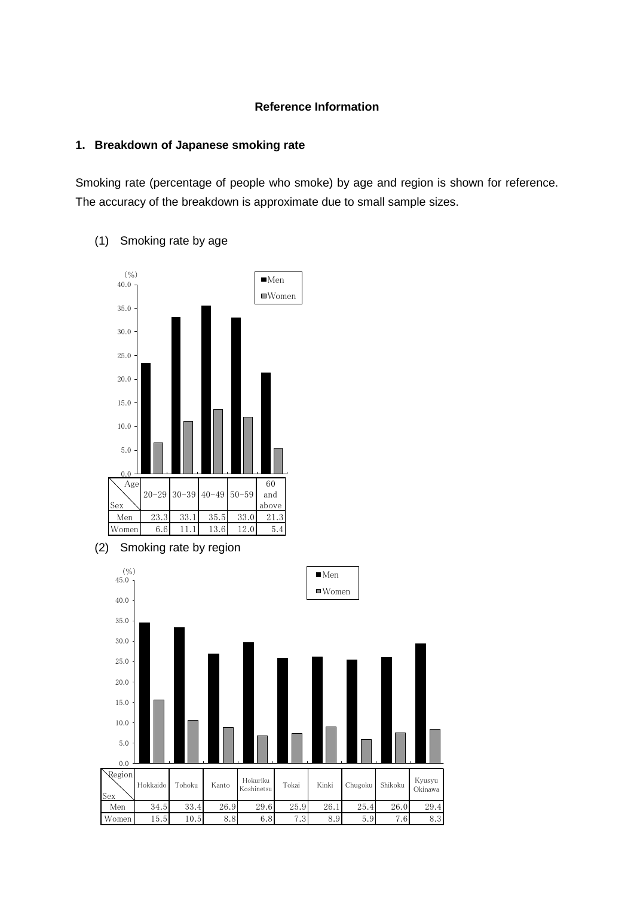## **Reference Information**

## **1. Breakdown of Japanese smoking rate**

Smoking rate (percentage of people who smoke) by age and region is shown for reference. The accuracy of the breakdown is approximate due to small sample sizes.



(1) Smoking rate by age